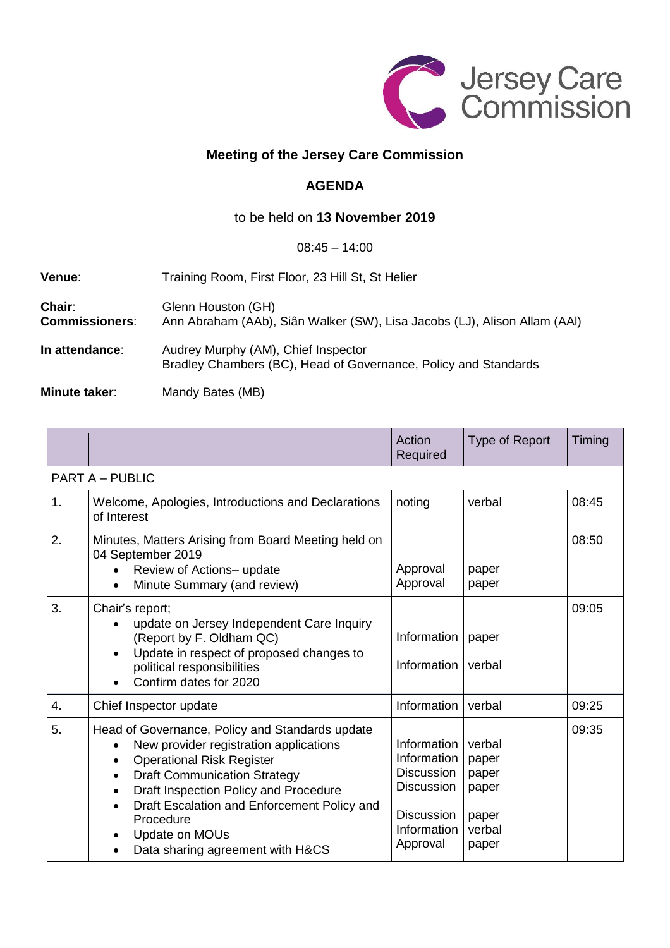

# **Meeting of the Jersey Care Commission**

## **AGENDA**

# to be held on **13 November 2019**

#### 08:45 – 14:00

| Venue:                          | Training Room, First Floor, 23 Hill St, St Helier                                                      |  |  |
|---------------------------------|--------------------------------------------------------------------------------------------------------|--|--|
| Chair:<br><b>Commissioners:</b> | Glenn Houston (GH)<br>Ann Abraham (AAb), Siân Walker (SW), Lisa Jacobs (LJ), Alison Allam (AAI)        |  |  |
| In attendance:                  | Audrey Murphy (AM), Chief Inspector<br>Bradley Chambers (BC), Head of Governance, Policy and Standards |  |  |

#### **Minute taker:** Mandy Bates (MB)

|                        |                                                                                                                                                                                                                                                                                                                                                                             | Action<br>Required                                                                                                   | Type of Report                                                | Timing |  |  |
|------------------------|-----------------------------------------------------------------------------------------------------------------------------------------------------------------------------------------------------------------------------------------------------------------------------------------------------------------------------------------------------------------------------|----------------------------------------------------------------------------------------------------------------------|---------------------------------------------------------------|--------|--|--|
| <b>PART A - PUBLIC</b> |                                                                                                                                                                                                                                                                                                                                                                             |                                                                                                                      |                                                               |        |  |  |
| 1.                     | Welcome, Apologies, Introductions and Declarations<br>of Interest                                                                                                                                                                                                                                                                                                           | noting                                                                                                               | verbal                                                        | 08:45  |  |  |
| 2.                     | Minutes, Matters Arising from Board Meeting held on<br>04 September 2019<br>Review of Actions- update<br>Minute Summary (and review)                                                                                                                                                                                                                                        | Approval<br>Approval                                                                                                 | paper<br>paper                                                | 08:50  |  |  |
| 3.                     | Chair's report;<br>update on Jersey Independent Care Inquiry<br>(Report by F. Oldham QC)<br>Update in respect of proposed changes to<br>political responsibilities<br>Confirm dates for 2020                                                                                                                                                                                | Information<br>Information                                                                                           | paper<br>verbal                                               | 09:05  |  |  |
| 4.                     | Chief Inspector update                                                                                                                                                                                                                                                                                                                                                      | Information                                                                                                          | verbal                                                        | 09:25  |  |  |
| 5.                     | Head of Governance, Policy and Standards update<br>New provider registration applications<br><b>Operational Risk Register</b><br>$\bullet$<br><b>Draft Communication Strategy</b><br>٠<br>Draft Inspection Policy and Procedure<br>$\bullet$<br>Draft Escalation and Enforcement Policy and<br>$\bullet$<br>Procedure<br>Update on MOUs<br>Data sharing agreement with H&CS | Information<br>Information<br><b>Discussion</b><br><b>Discussion</b><br><b>Discussion</b><br>Information<br>Approval | verbal<br>paper<br>paper<br>paper<br>paper<br>verbal<br>paper | 09:35  |  |  |